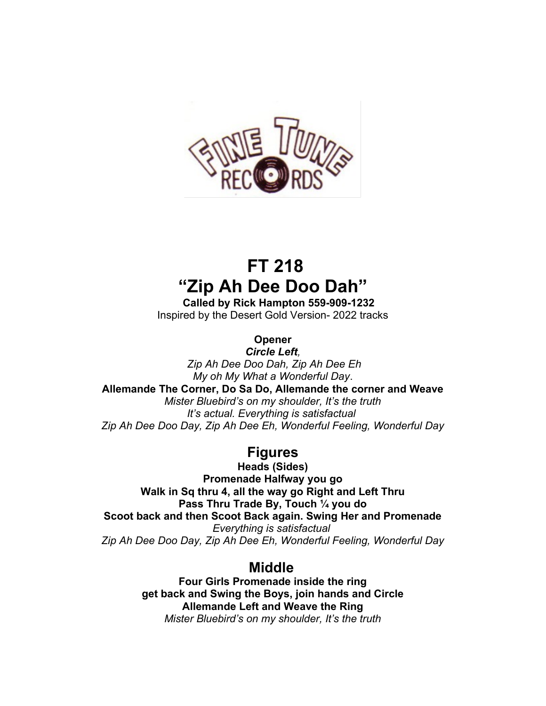

## **FT 218 "Zip Ah Dee Doo Dah"**

 **Called by Rick Hampton 559-909-1232** Inspired by the Desert Gold Version- 2022 tracks

**Opener**

*Circle Left, Zip Ah Dee Doo Dah, Zip Ah Dee Eh My oh My What a Wonderful Day*.

**Allemande The Corner, Do Sa Do, Allemande the corner and Weave**

*Mister Bluebird's on my shoulder, It's the truth It's actual. Everything is satisfactual Zip Ah Dee Doo Day, Zip Ah Dee Eh, Wonderful Feeling, Wonderful Day*

## **Figures**

**Heads (Sides) Promenade Halfway you go Walk in Sq thru 4, all the way go Right and Left Thru Pass Thru Trade By, Touch ¼ you do Scoot back and then Scoot Back again. Swing Her and Promenade** *Everything is satisfactual Zip Ah Dee Doo Day, Zip Ah Dee Eh, Wonderful Feeling, Wonderful Day*

## **Middle**

**Four Girls Promenade inside the ring get back and Swing the Boys, join hands and Circle Allemande Left and Weave the Ring** *Mister Bluebird's on my shoulder, It's the truth*